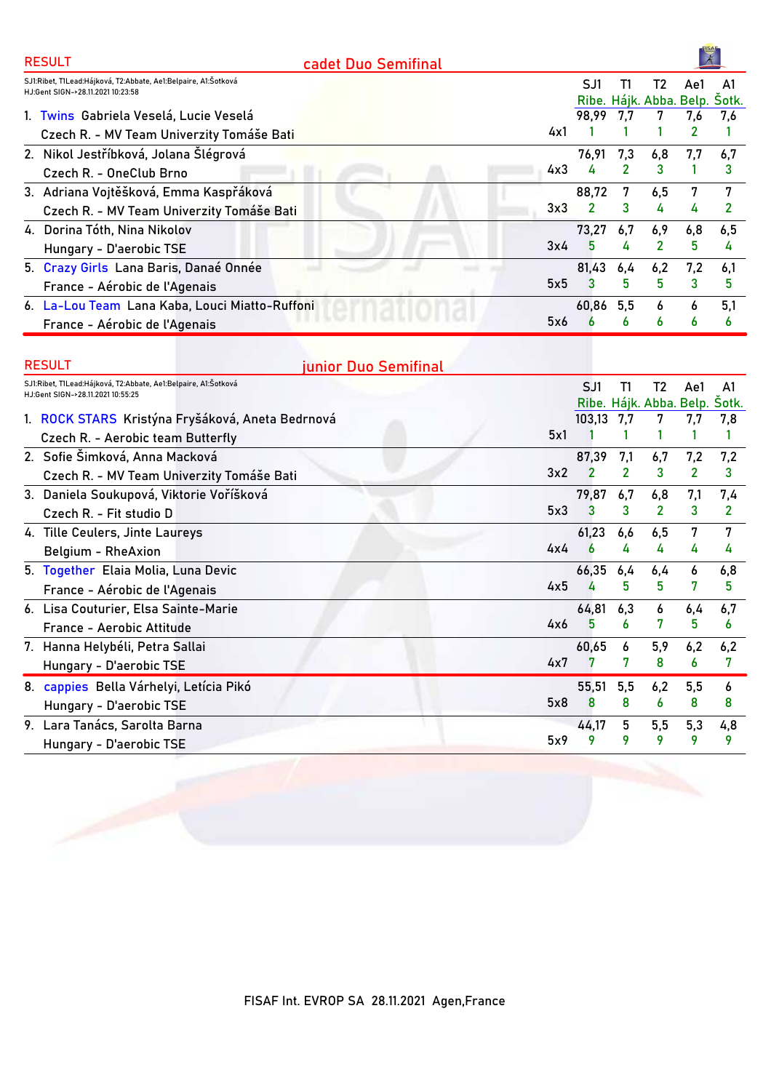| <b>RESULT</b> | cadet Duo Semifinal                                            |                |                |                               |                |                |
|---------------|----------------------------------------------------------------|----------------|----------------|-------------------------------|----------------|----------------|
|               | SJ1:Ribet, T1Lead:Hájková, T2:Abbate, Ae1:Belpaire, A1:Šotková | SJ1            | Τ1             | T2                            | Ae1            | A <sub>1</sub> |
|               | HJ:Gent SIGN->28.11.2021 10:23:58                              | Ribe.          |                | Hájk. Abba. Belp. Šotk.       |                |                |
|               | 1. Twins Gabriela Veselá, Lucie Veselá                         | 98,99          | 7,7            |                               | 7,6            | 7,6            |
|               | 4x1<br>Czech R. - MV Team Univerzity Tomáše Bati               |                |                |                               | 2              |                |
|               | 2. Nikol Jestříbková, Jolana Šlégrová                          | 76,91          | 7,3            | 6,8                           | 7,7            | 6,7            |
|               | 4x3<br>Czech R. - OneClub Brno                                 | 4              | 2              | 3                             |                | 3              |
|               | 3. Adriana Vojtěšková, Emma Kaspřáková                         | 88,72          | 7              | 6,5                           | 7              | 7              |
|               | 3x3<br>Czech R. - MV Team Univerzity Tomáše Bati               | 2              | 3              | 4                             | 4              | $\overline{2}$ |
|               | 4. Dorina Tóth, Nina Nikolov                                   | 73.27          | 6,7            | 6,9                           | 6,8            | 6,5            |
|               | 3x4<br>Hungary - D'aerobic TSE                                 | 5              | 4              | 2                             | 5              | 4              |
|               | 5. Crazy Girls Lana Baris, Danaé Onnée                         | 81,43          | 6,4            | 6,2                           | 7,2            | 6,1            |
|               | 5x5<br>France - Aérobic de l'Agenais                           | 3              | 5              | 5                             | 3              | 5              |
|               | 6. La-Lou Team Lana Kaba, Louci Miatto-Ruffoni                 | 60,86          | 5,5            | 6                             | 6              | 5,1            |
|               | 5x6<br>France - Aérobic de l'Agenais                           |                | 6              | 6                             | 6              | 6              |
| <b>RESULT</b> | junior Duo Semifinal                                           |                |                |                               |                |                |
|               | SJ1:Ribet, T1Lead:Hájková, T2:Abbate, Ae1:Belpaire, A1:Šotková | SJ1            | Τ1             | T <sub>2</sub>                | Ae1            | A1             |
|               | HJ:Gent SIGN->28.11.2021 10:55:25                              |                |                | Ribe. Hájk. Abba. Belp. Šotk. |                |                |
|               | 1. ROCK STARS Kristýna Fryšáková, Aneta Bedrnová               | 103,13         | 7,7            |                               | 7.7            | 7,8            |
|               | 5x1<br>Czech R. - Aerobic team Butterfly                       |                |                |                               |                |                |
|               | 2. Sofie Šimková, Anna Macková                                 | 87,39          | 7,1            | 6,7                           | 7,2            | 7,2            |
|               | 3x2<br>Czech R. - MV Team Univerzity Tomáše Bati               | $\overline{2}$ | $\overline{2}$ | 3                             | $\overline{2}$ | 3              |
|               | 3. Daniela Soukupová, Viktorie Voříšková                       | 79,87          | 6,7            | 6,8                           | 7,1            | 7,4            |

| Belgium - RheAxion                      | 4x4 |           | 4 | 4   | 4   | 4   |
|-----------------------------------------|-----|-----------|---|-----|-----|-----|
| 5. Together Elaia Molia, Luna Devic     |     | 66,35 6,4 |   | 6.4 | 6   | 6,8 |
| France - Aérobic de l'Agenais           | 4x5 |           | 5 | 5   |     | 5.  |
| 6. Lisa Couturier, Elsa Sainte-Marie    |     | 64,81 6,3 |   | 6   | 6,4 | 6,7 |
| France - Aerobic Attitude               | 4x6 |           | 6 |     | 5   | - 6 |
| 7. Hanna Helybéli, Petra Sallai         |     | 60.65     | 6 | 5,9 | 6,2 | 6,2 |
| Hungary - D'aerobic TSE                 | 4x7 |           |   | 8   | 6   | -7  |
| 8. cappies Bella Várhelyi, Letícia Pikó |     | 55,51 5,5 |   | 6.2 | 5,5 | 6   |
| Hungary - D'aerobic TSE                 | 5x8 |           | 8 | 6   | 8   | -8  |
| 9. Lara Tanács, Sarolta Barna           |     | 44.17     | 5 | 5,5 | 5,3 | 4,8 |
| Hungary - D'aerobic TSE                 | 5x9 |           |   | 9   |     | -9  |

Czech R. - Fit studio D **3 3 2 3 2**

5x3

61,23 6,6 6,5 7 7

**4. Tille Ceulers, Jinte Laureys**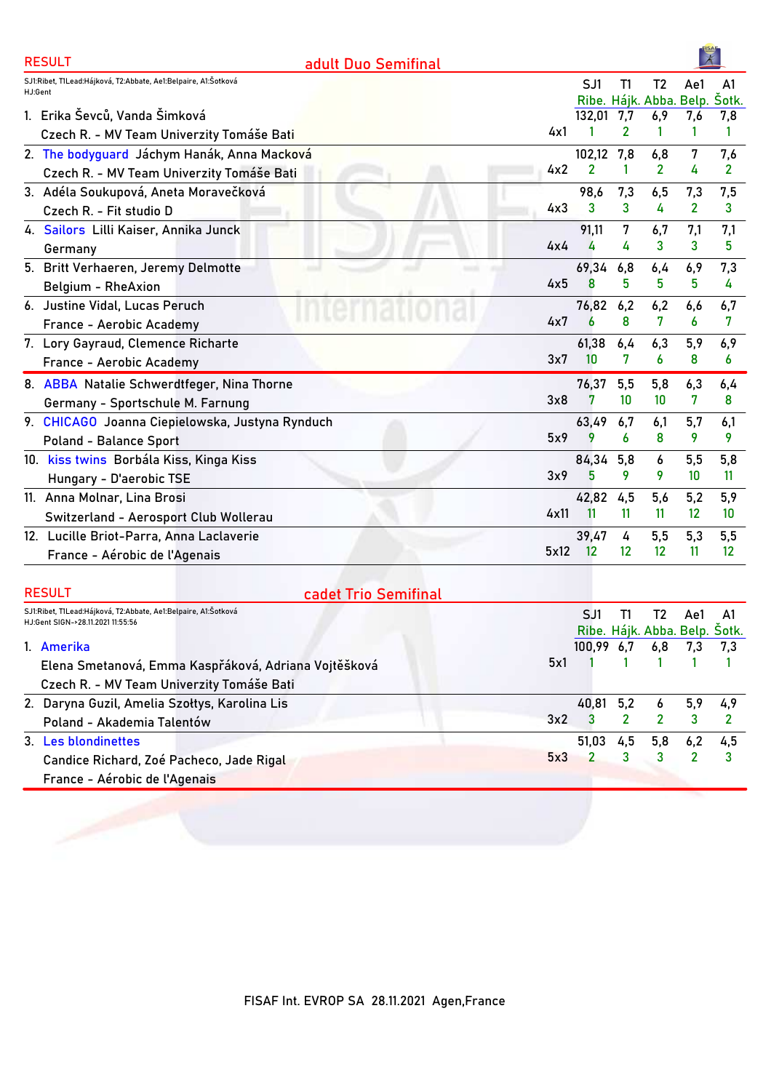| <b>RESULT</b>                                                                                       | adult Duo Semifinal  |                |     |                               |                   |                |
|-----------------------------------------------------------------------------------------------------|----------------------|----------------|-----|-------------------------------|-------------------|----------------|
| SJ1:Ribet, T1Lead:Hájková, T2:Abbate, Ae1:Belpaire, A1:Šotková<br>HJ:Gent                           |                      | SJ1            | Τ1  | T <sub>2</sub>                | Ae1               | A1             |
|                                                                                                     |                      |                |     | Ribe. Hájk. Abba. Belp.       |                   | Šotk.          |
| 1. Erika Ševců, Vanda Šimková                                                                       |                      | 132,01         | 7,7 | 6,9                           | 7,6               | 7,8            |
| Czech R. - MV Team Univerzity Tomáše Bati                                                           | 4x1                  |                | 2   | 1                             | 1                 | $\mathbf{1}$   |
| 2. The bodyguard Jáchym Hanák, Anna Macková                                                         |                      | 102,12         | 7,8 | 6,8                           | 7                 | 7,6            |
| Czech R. - MV Team Univerzity Tomáše Bati                                                           | 4x2                  | $\overline{2}$ | 1   | $\overline{2}$                | 4                 | $\overline{2}$ |
| 3. Adéla Soukupová, Aneta Moravečková                                                               |                      | 98,6           | 7,3 | 6,5                           | 7,3               | 7,5            |
| Czech R. - Fit studio D                                                                             | 4x3                  | 3              | 3   | 4                             | $\mathbf{2}$      | 3              |
| 4. Sailors Lilli Kaiser, Annika Junck                                                               |                      | 91,11          | 7   | 6,7                           | 7,1               | 7,1            |
| Germany                                                                                             | 4x4                  | 4              | 4   | 3                             | 3                 | 5              |
| 5. Britt Verhaeren, Jeremy Delmotte                                                                 |                      | 69,34          | 6,8 | 6,4                           | 6,9               | 7,3            |
| Belgium - RheAxion                                                                                  | 4x5                  | 8              | 5   | 5                             | 5                 | 4              |
| 6. Justine Vidal, Lucas Peruch                                                                      |                      | 76,82 6,2      |     | 6,2                           | 6,6               | 6,7            |
| France - Aerobic Academy                                                                            | 4x7                  | 6              | 8   | 7                             | 6                 | 7              |
| 7. Lory Gayraud, Clemence Richarte                                                                  |                      | 61,38          | 6,4 | 6,3                           | 5,9               | 6,9            |
| France - Aerobic Academy                                                                            | 3x7                  | 10             | 7   | 6                             | 8                 | 6              |
| 8. ABBA Natalie Schwerdtfeger, Nina Thorne                                                          |                      | 76,37          | 5,5 | 5,8                           | 6,3               | 6,4            |
| Germany - Sportschule M. Farnung                                                                    | 3x8                  | 7              | 10  | 10                            | 7                 | 8              |
| 9. CHICAGO Joanna Ciepielowska, Justyna Rynduch                                                     |                      | 63,49          | 6,7 | 6,1                           | 5,7               | 6,1            |
| <b>Poland - Balance Sport</b>                                                                       | 5x9                  | 9              | 6   | 8                             | 9                 | 9              |
| 10. kiss twins Borbála Kiss, Kinga Kiss                                                             |                      | 84,34          | 5,8 | 6                             | 5,5               | 5,8            |
| Hungary - D'aerobic TSE                                                                             | 3x9                  | 5              | 9   | 9                             | 10                | -11            |
| 11. Anna Molnar, Lina Brosi                                                                         |                      | 42,82          | 4,5 | 5,6                           | 5,2               | 5,9            |
| Switzerland - Aerosport Club Wollerau                                                               | 4x11                 | 11             | 11  | 11                            | $12 \overline{ }$ | 10             |
| 12. Lucille Briot-Parra, Anna Laclaverie                                                            |                      | 39,47          | 4   | 5,5                           | 5,3               | 5,5            |
| France - Aérobic de l'Agenais                                                                       | 5x12                 | 12             | 12  | 12                            | 11                | 12             |
|                                                                                                     |                      |                |     |                               |                   |                |
| <b>RESULT</b>                                                                                       | cadet Trio Semifinal |                |     |                               |                   |                |
| SJ1:Ribet, T1Lead:Hájková, T2:Abbate, Ae1:Belpaire, A1:Šotková<br>HJ:Gent SIGN->28.11.2021 11:55:56 |                      | SJ1            | T1  | T <sub>2</sub>                | Ae1               | A1             |
|                                                                                                     |                      |                |     | Ribe. Hájk. Abba. Belp. Šotk. |                   |                |
| 1. Amerika                                                                                          |                      | 100,99         | 6,7 | 6,8                           | 7,3               | 7,3            |
| Elena Smetanová, Emma Kaspřáková, Adriana Vojtěšková                                                | 5x1                  |                | 1   | 1                             | 1                 | 1              |

3x2

5x3

40,81 5,2 6 5,9 4,9 **3 2 2 3 2**

51,03 4,5 5,8 6,2 4,5 **2 3 3 2 3**

Czech R. - MV Team Univerzity Tomáše Bati **2. Daryna Guzil, Amelia Szołtys, Karolina Lis**

**Candice Richard, Zoé Pacheco, Jade Rigal**

Poland - Akademia Talentów

France - Aérobic de l'Agenais

**3. Les blondinettes**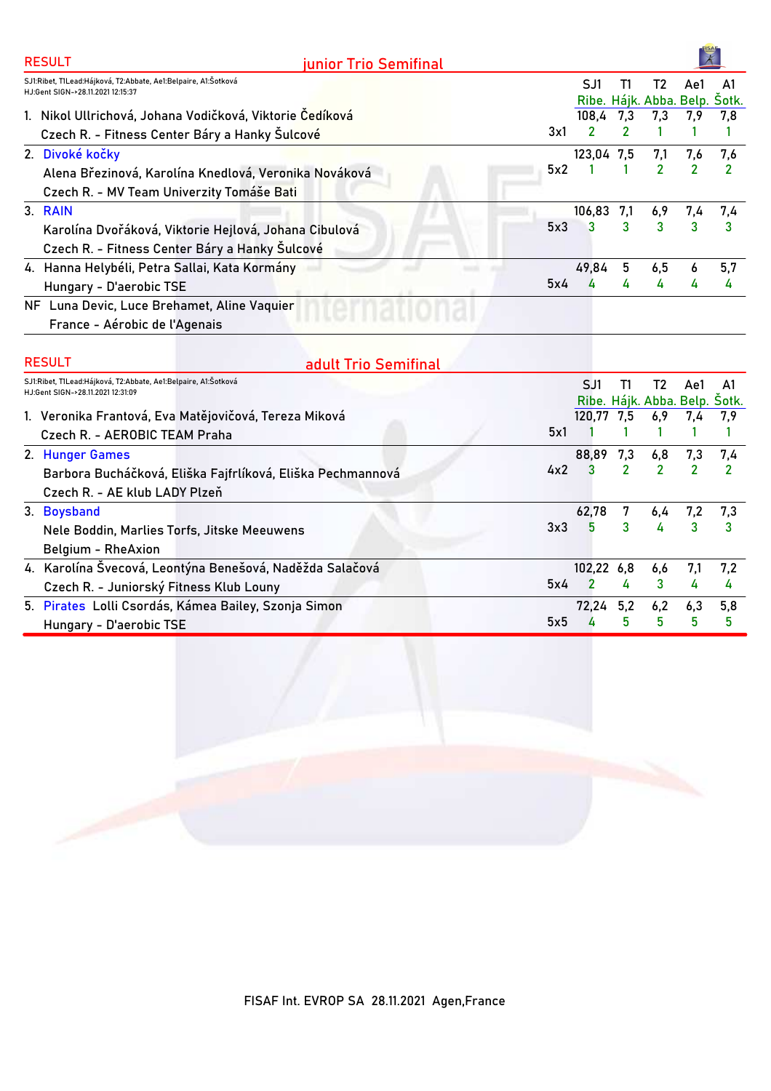| <b>RESULT</b>                                                                                       | junior Trio Semifinal |     |              |              |                |     |                                     |
|-----------------------------------------------------------------------------------------------------|-----------------------|-----|--------------|--------------|----------------|-----|-------------------------------------|
| SJ1:Ribet, T1Lead:Hájková, T2:Abbate, Ae1:Belpaire, A1:Šotková<br>HJ:Gent SIGN->28.11.2021 12:15:37 |                       |     | SJ1          | T1           | T2             | Ae1 | A1<br>Ribe. Hájk. Abba. Belp. Šotk. |
| 1. Nikol Ullrichová, Johana Vodičková, Viktorie Čedíková                                            |                       |     | 108,4        | 7,3          | 7,3            | 7.9 | 7,8                                 |
| Czech R. - Fitness Center Báry a Hanky Šulcové                                                      |                       | 3x1 | 2            | $\mathbf{2}$ |                |     |                                     |
| 2. Divoké kočky                                                                                     |                       |     | 123,04 7,5   |              | 7,1            | 7,6 | 7,6                                 |
| Alena Březinová, Karolína Knedlová, Veronika Nováková                                               |                       | 5x2 |              |              | $\overline{2}$ |     | 2                                   |
| Czech R. - MV Team Univerzity Tomáše Bati                                                           |                       |     |              |              |                |     |                                     |
| 3. RAIN                                                                                             |                       |     | 106,83       | 7,1          | 6,9            | 7,4 | 7,4                                 |
| Karolína Dvořáková, Viktorie Hejlová, Johana Cibulová                                               |                       | 5x3 | $\mathbf{3}$ | 3            | 3              |     |                                     |
| Czech R. - Fitness Center Báry a Hanky Šulcové                                                      |                       |     |              |              |                |     |                                     |
| 4. Hanna Helybéli, Petra Sallai, Kata Kormány                                                       |                       |     | 49,84        | 5            | 6,5            | 6   | 5,7                                 |
| Hungary - D'aerobic TSE                                                                             |                       | 5x4 |              | 4            | 4              | 4   | 4                                   |
| NF Luna Devic, Luce Brehamet, Aline Vaquier                                                         |                       |     |              |              |                |     |                                     |
| France - Aérobic de l'Agenais                                                                       |                       |     |              |              |                |     |                                     |

 $\frac{1}{2}$ 

| <b>RESULT</b>                                                                                       | adult Trio Semifinal                                       |     |                                      |                |                         |               |                |
|-----------------------------------------------------------------------------------------------------|------------------------------------------------------------|-----|--------------------------------------|----------------|-------------------------|---------------|----------------|
| SJ1:Ribet, T1Lead:Hájková, T2:Abbate, Ae1:Belpaire, A1:Šotková<br>HJ:Gent SIGN->28.11.2021 12:31:09 |                                                            |     | SJ1<br>Ribe. Hájk. Abba. Belp. Šotk. | T1.            | T2                      | Ae1           | A1             |
|                                                                                                     | 1. Veronika Frantová, Eva Matějovičová, Tereza Miková      |     | 120,77 7,5                           |                | 6,9                     | 7,4           | 7.9            |
| Czech R. - AEROBIC TEAM Praha                                                                       |                                                            | 5x1 |                                      |                |                         |               |                |
| 2. Hunger Games                                                                                     |                                                            |     | 88,89 7,3                            |                | 6,8                     | 7,3           | 7,4            |
|                                                                                                     | Barbora Bucháčková, Eliška Fajfrlíková, Eliška Pechmannová | 4x2 | $\mathbf{3}$                         | $\overline{2}$ | $\overline{\mathbf{z}}$ | $\mathcal{P}$ | $\overline{2}$ |
| Czech R. - AE klub LADY Plzeň                                                                       |                                                            |     |                                      |                |                         |               |                |
| 3. Boysband                                                                                         |                                                            |     | 62,78                                | 7              | 6,4                     | 7,2           | 7,3            |
| Nele Boddin, Marlies Torfs, Jitske Meeuwens                                                         |                                                            | 3x3 |                                      | 3              | 4                       | 3             | 3              |
| Belgium - RheAxion                                                                                  |                                                            |     |                                      |                |                         |               |                |
|                                                                                                     | 4. Karolína Švecová, Leontýna Benešová, Naděžda Salačová   |     | 102,22 6,8                           |                | 6,6                     | 7,1           | 7,2            |
| Czech R. - Juniorský Fitness Klub Louny                                                             |                                                            | 5x4 |                                      | 4              | 3                       | 4             | 4              |
|                                                                                                     | 5. Pirates Lolli Csordás, Kámea Bailey, Szonja Simon       |     | 72,24 5,2                            |                | 6,2                     | 6,3           | 5,8            |
| Hungary - D'aerobic TSE                                                                             |                                                            | 5x5 |                                      | 5              | 5.                      | 5             | 5              |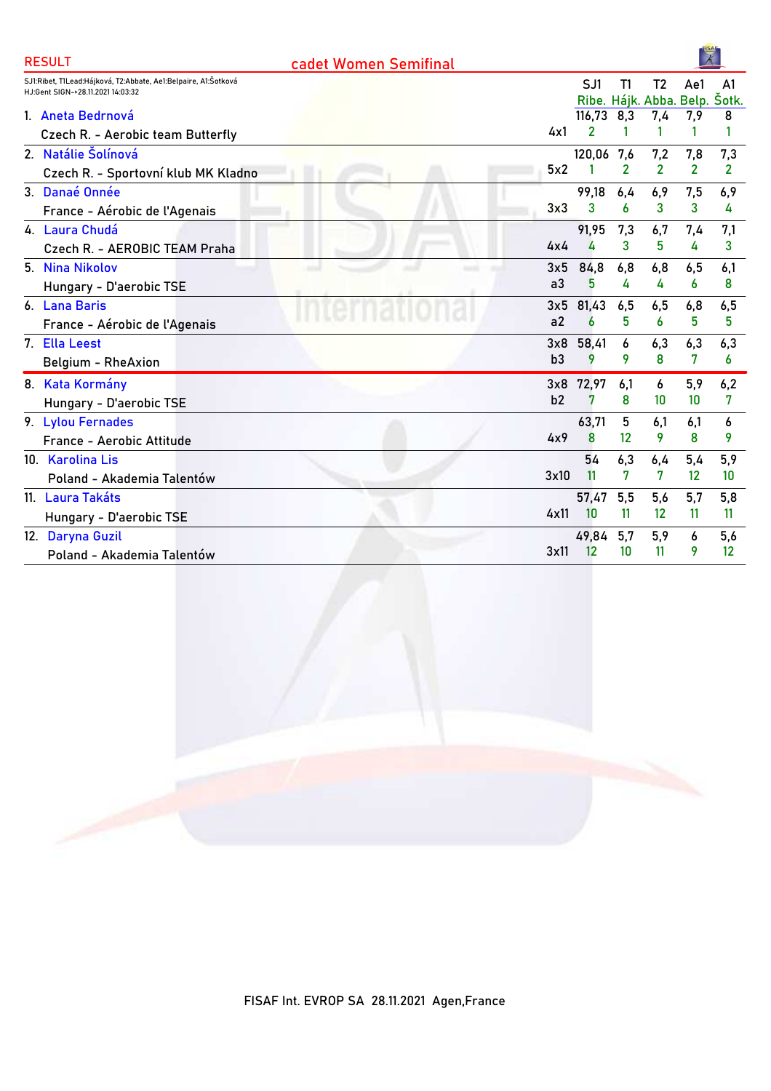| SJ1:Ribet, T1Lead:Hájková, T2:Abbate, Ae1:Belpaire, A1:Šotková<br>SJ1<br>T <sub>2</sub><br>T1<br>A <sub>1</sub><br>Ae1<br>HJ:Gent SIGN->28.11.2021 14:03:32<br>Ribe. Hájk. Abba. Belp. Šotk.<br>116,73<br>8,3<br>1. Aneta Bedrnová<br>7,4<br>7,9<br>8<br>4x1<br>Czech R. - Aerobic team Butterfly<br>2. Natálie Šolínová<br>120,06<br>7,6<br>7,2<br>7,3<br>7,8<br>$\overline{2}$<br>$\overline{2}$<br>$\overline{2}$<br>$\overline{2}$<br>5x2<br>Czech R. - Sportovní klub MK Kladno<br>3. Danaé Onnée<br>99,18<br>6,9<br>6,9<br>6,4<br>7,5<br>3x3<br>3<br>3<br>3<br>6<br>4<br>France - Aérobic de l'Agenais<br>4. Laura Chudá<br>91,95<br>7,3<br>7,1<br>6,7<br>7,4<br>3<br>5<br>3<br>4x4<br>4<br>4<br>Czech R. - AEROBIC TEAM Praha<br>5. Nina Nikolov<br>84,8<br>6,8<br>6,8<br>3x5<br>6,5<br>6,1<br>a <sub>3</sub><br>5<br>4<br>4<br>8<br>6<br>Hungary - D'aerobic TSE<br>81,43<br>6. Lana Baris<br>3x5<br>6,5<br>6,5<br>6,5<br>6,8<br>a2<br>5<br>5<br>6<br>5<br>6<br>France - Aérobic de l'Agenais<br>7. Ella Leest<br>58,41<br>6<br>6,3<br>6,3<br>6,3<br>3x8<br>8<br>b3<br>9<br>9<br>7<br>6<br>Belgium - RheAxion<br>8. Kata Kormány<br>72,97<br>5,9<br>6,2<br>3x8<br>6,1<br>6<br>b2<br>8<br>7<br>10<br>10<br>7<br>Hungary - D'aerobic TSE<br>63,71<br>5<br>9. Lylou Fernades<br>6.1<br>6.1<br>6<br>8<br>12<br>9<br>8<br>9<br>4x9<br>France - Aerobic Attitude<br>6,3<br>5,9<br>10. Karolina Lis<br>54<br>5,4<br>6,4<br>7<br>7<br>3x10<br>11<br>$12 \overline{ }$<br>10<br>Poland - Akademia Talentów<br>11. Laura Takáts<br>5,8<br>5,5<br>5,6<br>5,7<br>57,47<br>10<br>11<br>12<br>11<br>4x11<br>11<br>Hungary - D'aerobic TSE<br>5,6<br>12. Daryna Guzil<br>49,84<br>5,7<br>5,9<br>6<br>12<br>10<br>11<br>12<br>3x11<br>9<br>Poland - Akademia Talentów | <b>RESULT</b> | cadet Women Semifinal |  | $\overline{\mathbf{x}}$ |  |
|---------------------------------------------------------------------------------------------------------------------------------------------------------------------------------------------------------------------------------------------------------------------------------------------------------------------------------------------------------------------------------------------------------------------------------------------------------------------------------------------------------------------------------------------------------------------------------------------------------------------------------------------------------------------------------------------------------------------------------------------------------------------------------------------------------------------------------------------------------------------------------------------------------------------------------------------------------------------------------------------------------------------------------------------------------------------------------------------------------------------------------------------------------------------------------------------------------------------------------------------------------------------------------------------------------------------------------------------------------------------------------------------------------------------------------------------------------------------------------------------------------------------------------------------------------------------------------------------------------------------------------------------------------------------------------------------------------------------------------------------------------------|---------------|-----------------------|--|-------------------------|--|
|                                                                                                                                                                                                                                                                                                                                                                                                                                                                                                                                                                                                                                                                                                                                                                                                                                                                                                                                                                                                                                                                                                                                                                                                                                                                                                                                                                                                                                                                                                                                                                                                                                                                                                                                                               |               |                       |  |                         |  |
|                                                                                                                                                                                                                                                                                                                                                                                                                                                                                                                                                                                                                                                                                                                                                                                                                                                                                                                                                                                                                                                                                                                                                                                                                                                                                                                                                                                                                                                                                                                                                                                                                                                                                                                                                               |               |                       |  |                         |  |
|                                                                                                                                                                                                                                                                                                                                                                                                                                                                                                                                                                                                                                                                                                                                                                                                                                                                                                                                                                                                                                                                                                                                                                                                                                                                                                                                                                                                                                                                                                                                                                                                                                                                                                                                                               |               |                       |  |                         |  |
|                                                                                                                                                                                                                                                                                                                                                                                                                                                                                                                                                                                                                                                                                                                                                                                                                                                                                                                                                                                                                                                                                                                                                                                                                                                                                                                                                                                                                                                                                                                                                                                                                                                                                                                                                               |               |                       |  |                         |  |
|                                                                                                                                                                                                                                                                                                                                                                                                                                                                                                                                                                                                                                                                                                                                                                                                                                                                                                                                                                                                                                                                                                                                                                                                                                                                                                                                                                                                                                                                                                                                                                                                                                                                                                                                                               |               |                       |  |                         |  |
|                                                                                                                                                                                                                                                                                                                                                                                                                                                                                                                                                                                                                                                                                                                                                                                                                                                                                                                                                                                                                                                                                                                                                                                                                                                                                                                                                                                                                                                                                                                                                                                                                                                                                                                                                               |               |                       |  |                         |  |
|                                                                                                                                                                                                                                                                                                                                                                                                                                                                                                                                                                                                                                                                                                                                                                                                                                                                                                                                                                                                                                                                                                                                                                                                                                                                                                                                                                                                                                                                                                                                                                                                                                                                                                                                                               |               |                       |  |                         |  |
|                                                                                                                                                                                                                                                                                                                                                                                                                                                                                                                                                                                                                                                                                                                                                                                                                                                                                                                                                                                                                                                                                                                                                                                                                                                                                                                                                                                                                                                                                                                                                                                                                                                                                                                                                               |               |                       |  |                         |  |
|                                                                                                                                                                                                                                                                                                                                                                                                                                                                                                                                                                                                                                                                                                                                                                                                                                                                                                                                                                                                                                                                                                                                                                                                                                                                                                                                                                                                                                                                                                                                                                                                                                                                                                                                                               |               |                       |  |                         |  |
|                                                                                                                                                                                                                                                                                                                                                                                                                                                                                                                                                                                                                                                                                                                                                                                                                                                                                                                                                                                                                                                                                                                                                                                                                                                                                                                                                                                                                                                                                                                                                                                                                                                                                                                                                               |               |                       |  |                         |  |
|                                                                                                                                                                                                                                                                                                                                                                                                                                                                                                                                                                                                                                                                                                                                                                                                                                                                                                                                                                                                                                                                                                                                                                                                                                                                                                                                                                                                                                                                                                                                                                                                                                                                                                                                                               |               |                       |  |                         |  |
|                                                                                                                                                                                                                                                                                                                                                                                                                                                                                                                                                                                                                                                                                                                                                                                                                                                                                                                                                                                                                                                                                                                                                                                                                                                                                                                                                                                                                                                                                                                                                                                                                                                                                                                                                               |               |                       |  |                         |  |
|                                                                                                                                                                                                                                                                                                                                                                                                                                                                                                                                                                                                                                                                                                                                                                                                                                                                                                                                                                                                                                                                                                                                                                                                                                                                                                                                                                                                                                                                                                                                                                                                                                                                                                                                                               |               |                       |  |                         |  |
|                                                                                                                                                                                                                                                                                                                                                                                                                                                                                                                                                                                                                                                                                                                                                                                                                                                                                                                                                                                                                                                                                                                                                                                                                                                                                                                                                                                                                                                                                                                                                                                                                                                                                                                                                               |               |                       |  |                         |  |
|                                                                                                                                                                                                                                                                                                                                                                                                                                                                                                                                                                                                                                                                                                                                                                                                                                                                                                                                                                                                                                                                                                                                                                                                                                                                                                                                                                                                                                                                                                                                                                                                                                                                                                                                                               |               |                       |  |                         |  |
|                                                                                                                                                                                                                                                                                                                                                                                                                                                                                                                                                                                                                                                                                                                                                                                                                                                                                                                                                                                                                                                                                                                                                                                                                                                                                                                                                                                                                                                                                                                                                                                                                                                                                                                                                               |               |                       |  |                         |  |
|                                                                                                                                                                                                                                                                                                                                                                                                                                                                                                                                                                                                                                                                                                                                                                                                                                                                                                                                                                                                                                                                                                                                                                                                                                                                                                                                                                                                                                                                                                                                                                                                                                                                                                                                                               |               |                       |  |                         |  |
|                                                                                                                                                                                                                                                                                                                                                                                                                                                                                                                                                                                                                                                                                                                                                                                                                                                                                                                                                                                                                                                                                                                                                                                                                                                                                                                                                                                                                                                                                                                                                                                                                                                                                                                                                               |               |                       |  |                         |  |
|                                                                                                                                                                                                                                                                                                                                                                                                                                                                                                                                                                                                                                                                                                                                                                                                                                                                                                                                                                                                                                                                                                                                                                                                                                                                                                                                                                                                                                                                                                                                                                                                                                                                                                                                                               |               |                       |  |                         |  |
|                                                                                                                                                                                                                                                                                                                                                                                                                                                                                                                                                                                                                                                                                                                                                                                                                                                                                                                                                                                                                                                                                                                                                                                                                                                                                                                                                                                                                                                                                                                                                                                                                                                                                                                                                               |               |                       |  |                         |  |
|                                                                                                                                                                                                                                                                                                                                                                                                                                                                                                                                                                                                                                                                                                                                                                                                                                                                                                                                                                                                                                                                                                                                                                                                                                                                                                                                                                                                                                                                                                                                                                                                                                                                                                                                                               |               |                       |  |                         |  |
|                                                                                                                                                                                                                                                                                                                                                                                                                                                                                                                                                                                                                                                                                                                                                                                                                                                                                                                                                                                                                                                                                                                                                                                                                                                                                                                                                                                                                                                                                                                                                                                                                                                                                                                                                               |               |                       |  |                         |  |
|                                                                                                                                                                                                                                                                                                                                                                                                                                                                                                                                                                                                                                                                                                                                                                                                                                                                                                                                                                                                                                                                                                                                                                                                                                                                                                                                                                                                                                                                                                                                                                                                                                                                                                                                                               |               |                       |  |                         |  |
|                                                                                                                                                                                                                                                                                                                                                                                                                                                                                                                                                                                                                                                                                                                                                                                                                                                                                                                                                                                                                                                                                                                                                                                                                                                                                                                                                                                                                                                                                                                                                                                                                                                                                                                                                               |               |                       |  |                         |  |
|                                                                                                                                                                                                                                                                                                                                                                                                                                                                                                                                                                                                                                                                                                                                                                                                                                                                                                                                                                                                                                                                                                                                                                                                                                                                                                                                                                                                                                                                                                                                                                                                                                                                                                                                                               |               |                       |  |                         |  |
|                                                                                                                                                                                                                                                                                                                                                                                                                                                                                                                                                                                                                                                                                                                                                                                                                                                                                                                                                                                                                                                                                                                                                                                                                                                                                                                                                                                                                                                                                                                                                                                                                                                                                                                                                               |               |                       |  |                         |  |

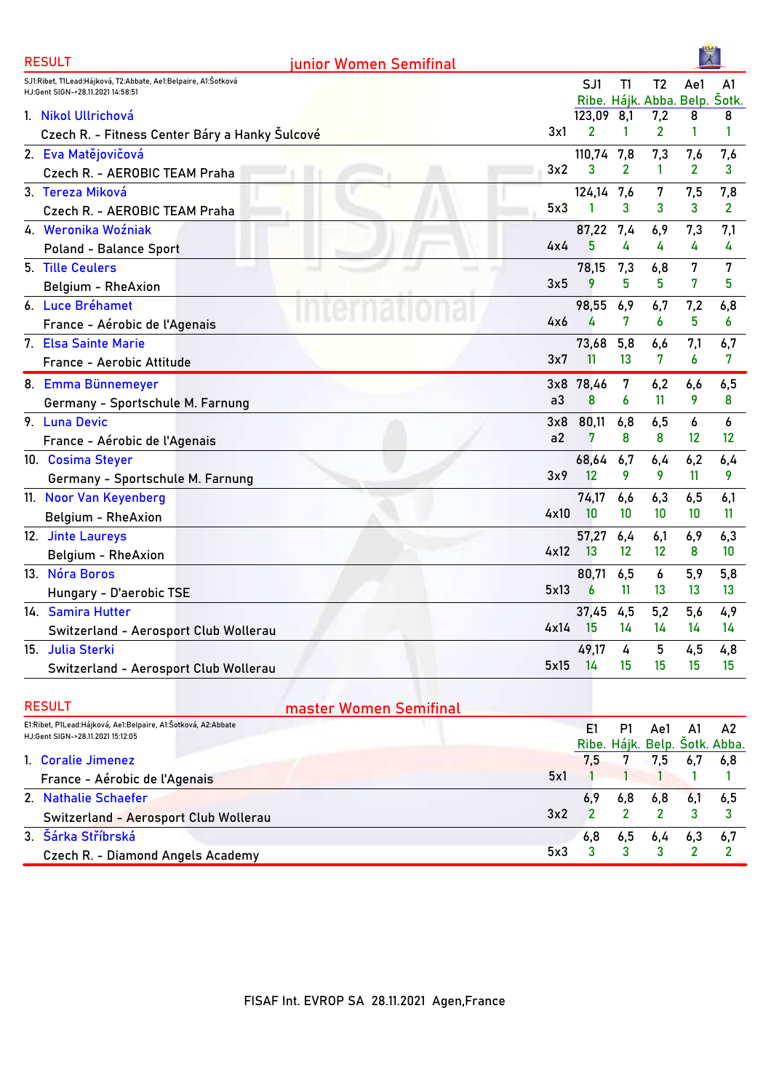| <b>RESULT</b><br>junior Women Semifinal                                                            |      |        |        |                               |                   |                |
|----------------------------------------------------------------------------------------------------|------|--------|--------|-------------------------------|-------------------|----------------|
| SJ1:Ribet, T1Lead:Hájková, T2:Abbate, Ae1:Belpaire, A1:Šotková                                     |      | SJ1    | T1     | T <sub>2</sub>                | Ae1               | A <sub>1</sub> |
| HJ:Gent SIGN->28.11.2021 14:58:51                                                                  |      |        |        | Ribe. Hájk. Abba. Belp. Šotk. |                   |                |
| 1. Nikol Ullrichová                                                                                |      | 123,09 | 8,1    | 7,2                           | 8                 | 8              |
| Czech R. - Fitness Center Báry a Hanky Šulcové                                                     | 3x1  | 2      | 1      | $\overline{2}$                | 1                 | 1              |
| 2. Eva Matějovičová                                                                                |      | 110,74 | 7,8    | 7,3                           | 7,6               | 7,6            |
| Czech R. - AEROBIC TEAM Praha                                                                      | 3x2  | 3      | 2      | 1                             | $\overline{2}$    | 3              |
| 3. Tereza Miková                                                                                   |      | 124,14 | 7,6    | 7                             | 7,5               | 7,8            |
| Czech R. - AEROBIC TEAM Praha                                                                      | 5x3  |        | 3      | 3                             | 3                 | 2              |
| 4. Weronika Woźniak                                                                                |      | 87,22  | 7,4    | 6,9                           | 7,3               | 7,1            |
| <b>Poland - Balance Sport</b>                                                                      | 4x4  | 5      | 4      | 4                             | 4                 | 4              |
| 5. Tille Ceulers                                                                                   |      | 78,15  | 7,3    | 6,8                           | 7                 | 7              |
| <b>Belgium - RheAxion</b>                                                                          | 3x5  | 9      | 5      | 5                             | 7                 | 5              |
| 6. Luce Bréhamet                                                                                   |      | 98,55  | 6,9    | 6,7                           | 7,2               | 6,8            |
| France - Aérobic de l'Agenais                                                                      | 4x6  | 4      | 7      | 6                             | 5                 | 6              |
| 7. Elsa Sainte Marie                                                                               |      | 73,68  | 5,8    | 6,6                           | 7,1               | 6,7            |
| France - Aerobic Attitude                                                                          | 3x7  | 11     | 13     | 7                             | 6                 | 7              |
| 8. Emma Bünnemeyer                                                                                 | 3x8  | 78,46  | 7      | 6,2                           | 6,6               | 6,5            |
| Germany - Sportschule M. Farnung                                                                   | a3   | 8      | 6      | 11                            | 9                 | 8              |
| 9. Luna Devic                                                                                      | 3x8  | 80,11  | 6,8    | 6,5                           | 6                 | 6              |
| France - Aérobic de l'Agenais                                                                      | a2   | 7      | 8      | 8                             | $12 \overline{ }$ | 12             |
| 10. Cosima Steyer                                                                                  |      | 68,64  | 6,7    | 6,4                           | 6,2               | 6,4            |
| Germany - Sportschule M. Farnung                                                                   | 3x9  | 12     | 9      | 9                             | 11                | 9              |
| 11. Noor Van Keyenberg                                                                             |      | 74,17  | 6,6    | 6,3                           | 6,5               | 6,1            |
| Belgium - RheAxion                                                                                 | 4x10 | 10     | 10     | 10                            | 10 <sup>°</sup>   | 11             |
| 12. Jinte Laureys                                                                                  |      | 57,27  | 6,4    | 6,1                           | 6,9               | 6,3            |
| Belgium - RheAxion                                                                                 | 4x12 | 13     | 12     | 12                            | 8                 | 10             |
| 13. Nóra Boros                                                                                     |      | 80,71  | 6,5    | 6                             | 5,9               | 5,8            |
| Hungary - D'aerobic TSE                                                                            | 5x13 | 6      | 11     | 13                            | 13                | 13             |
| 14. Samira Hutter                                                                                  |      | 37,45  | 4,5    | 5,2                           | 5,6               | 4,9            |
| Switzerland - Aerosport Club Wollerau                                                              | 4x14 | - 15   | 14     | 14                            | 14                | 14             |
| 15. Julia Sterki                                                                                   |      | 49,17  | 4      | 5                             | 4,5               | 4,8            |
| Switzerland - Aerosport Club Wollerau                                                              | 5x15 | 14     | 15     | 15                            | 15                | 15             |
|                                                                                                    |      |        |        |                               |                   |                |
| <b>RESULT</b><br>master Women Semifinal                                                            |      |        |        |                               |                   |                |
| E1:Ribet, P1Lead:Hájková, Ae1:Belpaire, A1:Šotková, A2:Abbate<br>HJ:Gent SIGN->28.11.2021 15:12:05 |      | E1     | P1     | Ae1                           | A1                | A2             |
|                                                                                                    |      |        |        | Ribe. Hájk. Belp. Šotk. Abba. |                   |                |
| 1. Coralie Jimenez                                                                                 | 5x1  | 7,5    | 7<br>1 | 7,5                           | 6,7<br>1          | 6,8<br>1       |
| France - Aérobic de l'Agenais                                                                      |      |        |        |                               |                   |                |

| Trance - Aerobic de l'Agenais         |  |                               |  |
|---------------------------------------|--|-------------------------------|--|
| 2. Nathalie Schaefer                  |  | $6,9$ $6,8$ $6,8$ $6,1$ $6,5$ |  |
| Switzerland - Aerosport Club Wollerau |  | $3x^2$ 2 2 2 3 3              |  |
| 3. Šárka Stříbrská                    |  | $6,8$ $6,5$ $6,4$ $6,3$ $6,7$ |  |
| Czech R. - Diamond Angels Academy     |  | $5x3 \t3 \t3 \t3 \t3 \t7 \t2$ |  |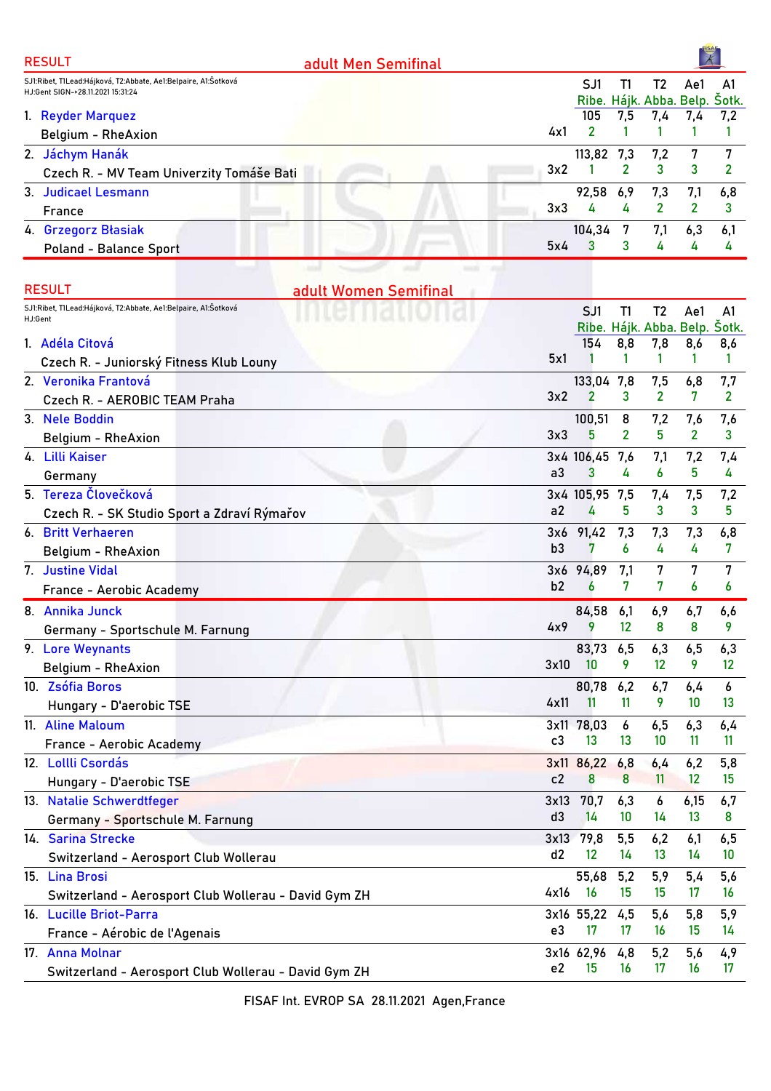| <b>RESULT</b><br>adult Men Semifinal                           |                |                |                |                               |                 |                |
|----------------------------------------------------------------|----------------|----------------|----------------|-------------------------------|-----------------|----------------|
| SJ1:Ribet, T1Lead:Hájková, T2:Abbate, Ae1:Belpaire, A1:Šotková |                | SJ1            | T1             | T <sub>2</sub>                | Ae1             | A <sub>1</sub> |
| HJ:Gent SIGN->28.11.2021 15:31:24                              |                |                |                | Ribe. Hájk. Abba. Belp.       |                 | Šotk.          |
| 1. Reyder Marquez                                              |                | 105            | 7,5            | 7,4                           | 7,4             | 7,2            |
| Belgium - RheAxion                                             | 4x1            | $\overline{2}$ | 1              | 1                             | 1               | 1              |
| 2. Jáchym Hanák                                                |                | 113,82 7,3     |                | 7,2                           | 7               | 7              |
| Czech R. - MV Team Univerzity Tomáše Bati                      | 3x2            |                | 2              | 3                             | 3               | 2              |
| 3. Judicael Lesmann                                            |                | 92,58          | 6,9            | 7,3                           | 7,1             | 6,8            |
| France                                                         | 3x3            | 4              | 4              | $\mathbf{2}$                  | $\mathbf{2}$    | 3              |
| 4. Grzegorz Błasiak                                            |                | 104,34         | 7              | 7,1                           | 6,3             | 6,1            |
| <b>Poland - Balance Sport</b>                                  | 5x4            | 3              | 3              | 4                             | 4               | 4              |
| <b>RESULT</b><br>adult Women Semifinal                         |                |                |                |                               |                 |                |
| SJ1:Ribet, T1Lead:Hájková, T2:Abbate, Ae1:Belpaire, A1:Šotková |                | SJ1            | T1             | T <sub>2</sub>                | Ae1             | A1             |
| HJ:Gent                                                        |                |                |                | Ribe. Hájk. Abba. Belp. Šotk. |                 |                |
| 1. Adéla Citová                                                |                | 154            | 8,8            | 7,8                           | 8,6             | 8,6            |
| Czech R. - Juniorský Fitness Klub Louny                        | 5x1            |                | 1              | 1                             | 1               | 1              |
| 2. Veronika Frantová                                           |                | 133,04 7,8     |                | 7,5                           | 6,8             | 7,7            |
| Czech R. - AEROBIC TEAM Praha                                  | 3x2            | $\overline{2}$ | 3              | $\overline{2}$                | 7               | $\mathbf{2}$   |
| 3. Nele Boddin                                                 |                | 100,51         | 8              | 7,2                           | 7,6             | 7,6            |
| Belgium - RheAxion                                             | 3x3            | 5              | $\overline{2}$ | 5                             | $\overline{2}$  | 3              |
| 4. Lilli Kaiser                                                |                | 3x4 106,45     | 7,6            | 7,1                           | 7,2             | 7,4            |
| Germany                                                        | a3             | 3              | 4              | 6                             | 5               | 4              |
| 5. Tereza Človečková                                           |                | 3x4 105,95 7,5 |                | 7,4                           | 7,5             | 7,2            |
| Czech R. - SK Studio Sport a Zdraví Rýmařov                    | a2             | 4              | 5              | 3                             | 3               | 5              |
| 6. Britt Verhaeren                                             | 3x6            | 91,42          | 7,3            | 7,3                           | 7,3             | 6,8            |
| Belgium - RheAxion                                             | b3             | 7              | 6              | 4                             | 4               | 7              |
| 7. Justine Vidal                                               | 3x6            | 94,89          | 7,1            | 7                             | 7               | 7              |
| France - Aerobic Academy                                       | b2             | 6              | 7              | 7                             | 6               | 6              |
| 8. Annika Junck                                                |                | 84,58          | 6,1            | 6,9                           | 6,7             | 6,6            |
| Germany - Sportschule M. Farnung                               | 4x9            | 9              | 12             | 8                             | 8               | 9              |
| 9. Lore Weynants                                               |                | 83,73          | 6,5            | 6,3                           | 6,5             | 6,3            |
| Belgium - RheAxion                                             | 3x10           | 10             | 9.             | 12                            | 9               | 12             |
| 10. Zsófia Boros                                               |                | 80,78          | 6,2            | 6,7                           | 6,4             | 6              |
| Hungary - D'aerobic TSE                                        | 4x11           | 11             | 11             | 9                             | 10              | 13             |
| 11. Aline Maloum                                               |                | 3x11 78,03     | 6              | 6,5                           | 6,3             | 6,4            |
| France - Aerobic Academy                                       | c3             | 13             | 13             | 10                            | 11              | 11             |
| 12. Lollli Csordás                                             |                | 3x11 86,22 6,8 |                | 6,4                           | 6,2             | 5,8            |
| Hungary - D'aerobic TSE                                        | c2             | 8              | 8              | 11                            | 12              | 15             |
| 13. Natalie Schwerdtfeger                                      | 3x13           | 70,7           | 6,3            | 6                             | 6,15            | 6,7            |
| Germany - Sportschule M. Farnung                               | d3             | 14             | 10             | 14                            | 13 <sup>°</sup> | 8              |
| 14. Sarina Strecke                                             |                | 3x13 79,8      | 5,5            | 6,2                           | 6,1             | 6,5            |
| Switzerland - Aerosport Club Wollerau                          | d2             | 12             | 14             | 13                            | 14              | 10             |
| 15. Lina Brosi                                                 |                | 55,68          | 5,2            | 5,9                           | 5,4             | 5,6            |
| Switzerland - Aerosport Club Wollerau - David Gym ZH           | 4x16           | <b>16</b>      | 15             | 15                            | 17              | 16             |
| 16. Lucille Briot-Parra                                        |                | 3x16 55,22     | 4,5            | 5,6                           | 5,8             | 5,9            |
| France - Aérobic de l'Agenais                                  | e3             | 17             | 17             | 16                            | 15              | 14             |
| 17. Anna Molnar                                                |                | 3x16 62,96     | 4,8            | 5,2                           | 5,6             | 4,9            |
| Switzerland - Aerosport Club Wollerau - David Gym ZH           | e <sub>2</sub> | 15             | 16             | 17                            | 16              | 17             |
|                                                                |                |                |                |                               |                 |                |

FISAF Int. EVROP SA 28.11.2021 Agen,France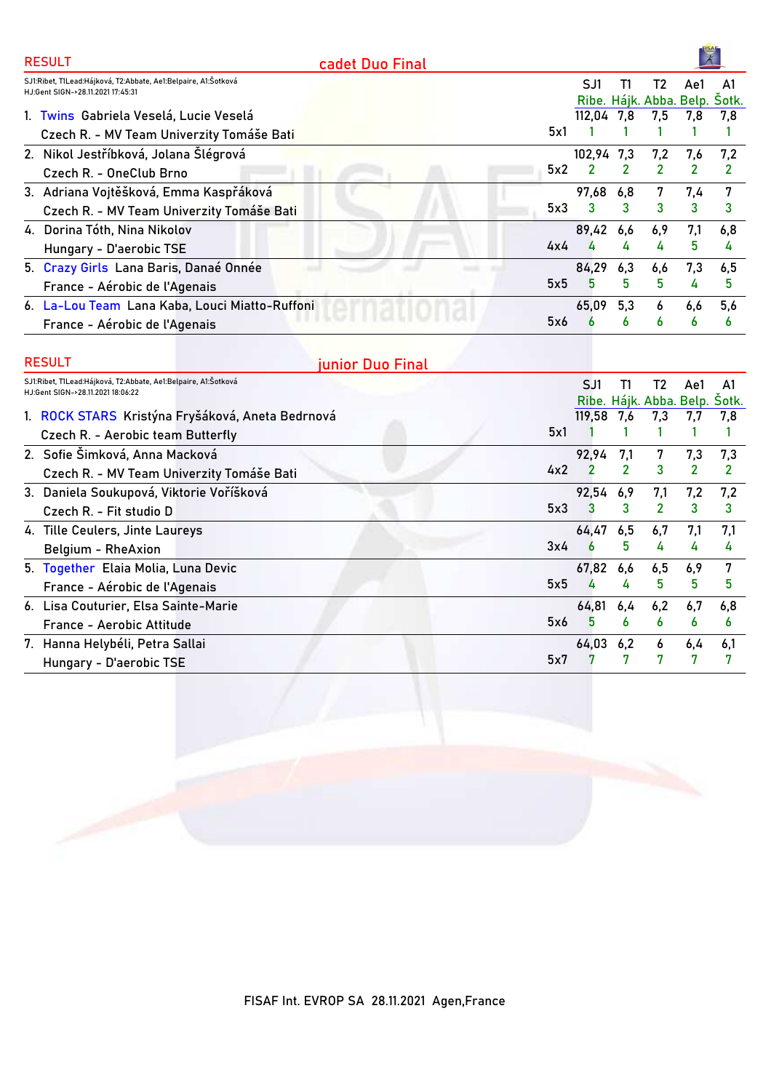| <b>RESULT</b>                                                                                        | cadet Duo Final |     |                                      |               |     |     |     |
|------------------------------------------------------------------------------------------------------|-----------------|-----|--------------------------------------|---------------|-----|-----|-----|
| SJ1:Ribet, T1Lead:Hájková, T2:Abbate, Ae1:Belpaire, A1:Šotková<br>H.J:Gent SIGN->28.11.2021 17:45:31 |                 |     | SJ1<br>Ribe. Hájk. Abba. Belp. Šotk. | T1            | T2  | Ae1 | A1  |
| 1. Twins Gabriela Veselá, Lucie Veselá                                                               |                 |     | 112,04 7,8                           |               | 7,5 | 7,8 | 7,8 |
| Czech R. - MV Team Univerzity Tomáše Bati                                                            |                 | 5x1 |                                      |               |     |     |     |
| 2. Nikol Jestříbková, Jolana Šlégrová                                                                |                 |     | 102.94 7.3                           |               | 7,2 | 7.6 | 7,2 |
| Czech R. - OneClub Brno                                                                              |                 | 5x2 | 2                                    | $\mathcal{P}$ | 2   | 2   |     |
| 3. Adriana Vojtěšková, Emma Kaspřáková                                                               |                 |     | 97,68                                | 6,8           | 7   | 7,4 |     |
| Czech R. - MV Team Univerzity Tomáše Bati                                                            |                 | 5x3 | 3                                    | 3             | 3   | 3   | 3   |
| 4. Dorina Tóth, Nina Nikolov                                                                         |                 |     | 89,42 6,6                            |               | 6,9 | 7,1 | 6,8 |
| Hungary - D'aerobic TSE                                                                              |                 | 4x4 | 4                                    | 4             | 4   | 5   | 4   |
| 5. Crazy Girls Lana Baris, Danaé Onnée                                                               |                 |     | 84,29                                | 6,3           | 6,6 | 7,3 | 6,5 |
| France - Aérobic de l'Agenais                                                                        |                 | 5x5 | 5                                    | 5             | 5   | 4   | 5   |
| 6. La-Lou Team Lana Kaba, Louci Miatto-Ruffoni                                                       |                 |     | 65,09                                | 5,3           | 6   | 6,6 | 5,6 |
| France - Aérobic de l'Agenais                                                                        |                 | 5x6 |                                      | 6             | 6   | 6   | 6   |

| <b>RESULT</b>                                                                                       | junior Duo Final |     |            |               |                                     |     |     |
|-----------------------------------------------------------------------------------------------------|------------------|-----|------------|---------------|-------------------------------------|-----|-----|
| SJ1:Ribet, T1Lead:Hájková, T2:Abbate, Ae1:Belpaire, A1:Šotková<br>HJ:Gent SIGN->28.11.2021 18:06:22 |                  |     | SJ1        | П             | T2<br>Ribe. Hájk. Abba. Belp. Sotk. | Ae1 | A1  |
| 1. ROCK STARS Kristýna Fryšáková, Aneta Bedrnová                                                    |                  |     | 119,58 7,6 |               | 7,3                                 | 7.7 | 7,8 |
| Czech R. - Aerobic team Butterfly                                                                   |                  | 5x1 |            |               |                                     |     |     |
| 2. Sofie Šimková, Anna Macková                                                                      |                  |     | 92,94      | 7,1           | 7                                   | 7,3 | 7,3 |
| Czech R. - MV Team Univerzity Tomáše Bati                                                           |                  | 4x2 |            | $\mathcal{P}$ | 3                                   | 2   | 2   |
| 3. Daniela Soukupová, Viktorie Voříšková                                                            |                  |     | 92,54 6,9  |               | 7,1                                 | 7,2 | 7,2 |
| Czech R. - Fit studio D                                                                             |                  | 5x3 | 3          | 3             | 2                                   | 3   | 3   |
| 4. Tille Ceulers, Jinte Laureys                                                                     |                  |     | 64,47 6,5  |               | 6,7                                 | 7,1 | 7,1 |
| Belgium - RheAxion                                                                                  |                  | 3x4 |            | 5             | 4                                   | 4   | 4   |
| 5. Together Elaia Molia, Luna Devic                                                                 |                  |     | 67,82 6,6  |               | 6,5                                 | 6,9 | 7   |
| France - Aérobic de l'Agenais                                                                       |                  | 5x5 |            | 4             | 5                                   | 5   | 5   |
| 6. Lisa Couturier, Elsa Sainte-Marie                                                                |                  |     | 64,81      | 6,4           | 6,2                                 | 6,7 | 6,8 |
| France - Aerobic Attitude                                                                           |                  | 5x6 | 5          | 6             | 6                                   | 6   | 6   |
| 7. Hanna Helybéli, Petra Sallai                                                                     |                  |     | 64,03      | 6,2           | 6                                   | 6,4 | 6,1 |
| Hungary - D'aerobic TSE                                                                             |                  | 5x7 |            |               |                                     |     |     |

FISAF Int. EVROP SA 28.11.2021 Agen,France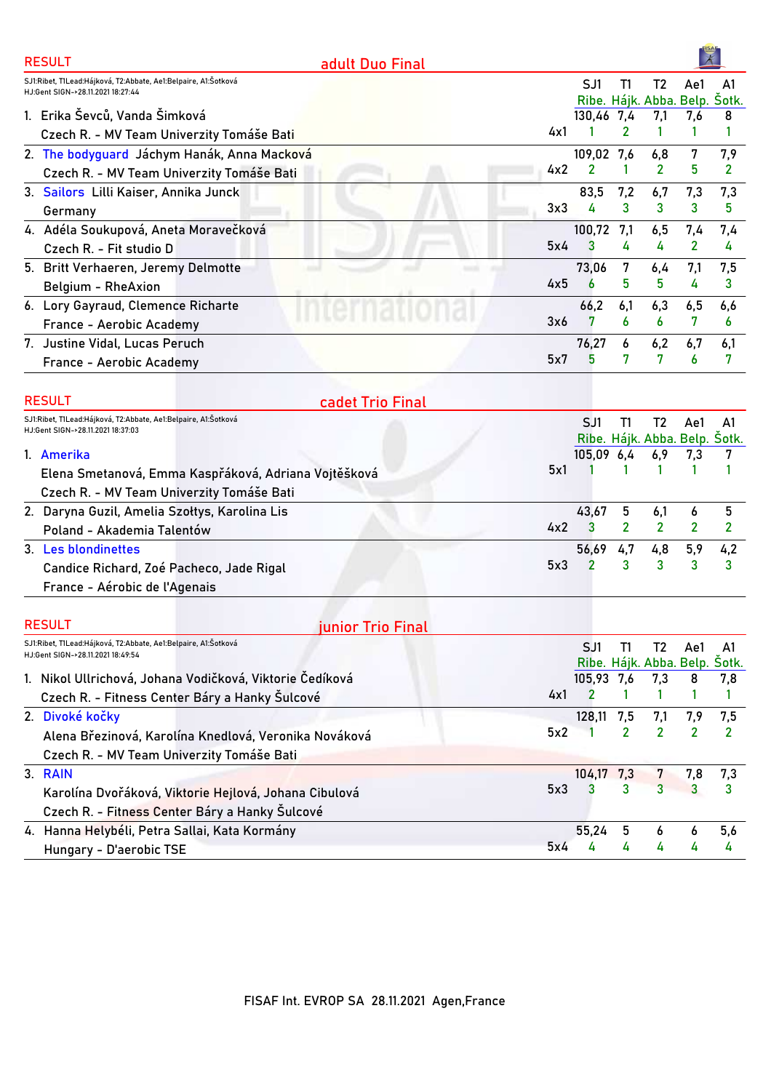| <b>RESULT</b><br>adult Duo Final                                                                    |                                      |                |                |                |                |
|-----------------------------------------------------------------------------------------------------|--------------------------------------|----------------|----------------|----------------|----------------|
| SJ1:Ribet, T1Lead:Hájková, T2:Abbate, Ae1:Belpaire, A1:Šotková<br>HJ:Gent SIGN->28.11.2021 18:27:44 | SJ1<br>Ribe. Hájk. Abba. Belp. Šotk. | T1             | T <sub>2</sub> | Ae1            | A1             |
| 1. Erika Ševců, Vanda Šimková                                                                       | 130,46 7,4                           |                | 7,1            | 7,6            | 8              |
| 4x1<br>Czech R. - MV Team Univerzity Tomáše Bati                                                    |                                      | 2              | 1              | 1              | 1              |
| 2. The bodyguard Jáchym Hanák, Anna Macková                                                         | 109,02 7,6                           |                | 6,8            | 7              | 7,9            |
| 4x2<br>Czech R. - MV Team Univerzity Tomáše Bati                                                    | 2                                    | 1              | 2              | 5              | $\overline{2}$ |
| 3. Sailors Lilli Kaiser, Annika Junck                                                               | 83,5                                 | 7,2            | 6,7            | 7,3            | 7,3            |
| 3x3<br>Germany                                                                                      | 4                                    | 3              | 3              | 3              | 5              |
| 4. Adéla Soukupová, Aneta Moravečková                                                               | 100,72                               | 7,1            | 6,5            | 7,4            | 7,4            |
| 5x4<br>Czech R. - Fit studio D                                                                      | 3                                    | 4              | 4              | $\mathbf{2}$   | 4              |
| 5. Britt Verhaeren, Jeremy Delmotte                                                                 | 73,06                                | 7              | 6,4            | 7,1            | 7,5            |
| 4x5<br>Belgium - RheAxion                                                                           | 6                                    | 5              | 5              | 4              | 3              |
| 6. Lory Gayraud, Clemence Richarte                                                                  | 66,2                                 | 6,1            | 6,3            | 6,5            | 6,6            |
| 3x6<br>France - Aerobic Academy                                                                     | 7                                    | 6              | 6              | 7              | 6              |
| 7. Justine Vidal, Lucas Peruch                                                                      | 76,27                                | 6              | 6,2            | 6,7            | 6,1            |
| 5x7<br>France - Aerobic Academy                                                                     | 5                                    | 7              | 7              | 6              | 7              |
| <b>RESULT</b><br>cadet Trio Final                                                                   |                                      |                |                |                |                |
| SJ1:Ribet, T1Lead:Hájková, T2:Abbate, Ae1:Belpaire, A1:Šotková<br>HJ:Gent SIGN->28.11.2021 18:37:03 | SJ1<br>Ribe. Hájk. Abba. Belp. Šotk. | T1             | T <sub>2</sub> | Ae1            | A <sub>1</sub> |
| 1. Amerika                                                                                          | 105,09 6,4                           |                | 6,9            | 7,3            | 7              |
| 5x1<br>Elena Smetanová, Emma Kaspřáková, Adriana Vojtěšková                                         |                                      | 1              | 1              | 1              | 1              |
| Czech R. - MV Team Univerzity Tomáše Bati                                                           |                                      |                |                |                |                |
| 2. Daryna Guzil, Amelia Szołtys, Karolina Lis                                                       | 43,67                                | 5              | 6,1            | 6              | 5              |
| 4x2<br>Poland - Akademia Talentów                                                                   | 3                                    | $\overline{2}$ | $\overline{2}$ | 2              | $\overline{2}$ |
| 3. Les blondinettes                                                                                 | 56,69                                | 4,7            | 4,8            | 5,9            | 4,2            |
| 5x3<br>Candice Richard, Zoé Pacheco, Jade Rigal                                                     | 2                                    | 3              | 3              | 3              | 3              |
| France - Aérobic de l'Agenais                                                                       |                                      |                |                |                |                |
|                                                                                                     |                                      |                |                |                |                |
| <b>RESULT</b><br><u>junior Trio Final</u>                                                           |                                      |                |                |                |                |
| SJ1:Ribet, T1Lead:Hájková, T2:Abbate, Ae1:Belpaire, A1:Šotková<br>HJ:Gent SIGN->28.11.2021 18:49:54 | SJ1<br>Ribe. Hájk. Abba. Belp. Šotk. | T1             | T <sub>2</sub> | Ae1            | A1             |
| 1. Nikol Ullrichová, Johana Vodičková, Viktorie Čedíková                                            | 105,93 7,6                           |                | 7,3            | 8              | 7,8            |
| 4x1<br>Czech R. - Fitness Center Báry a Hanky Šulcové                                               | 2                                    | 1              |                | 1              | 1              |
| 2. Divoké kočky                                                                                     | 128,11                               | 7,5            | 7,1            | 7,9            | 7,5            |
| 5x2<br>Alena Březinová, Karolína Knedlová, Veronika Nováková                                        |                                      | 2              | 2              | $\overline{2}$ | 2              |
| Czech R. - MV Team Univerzity Tomáše Bati                                                           |                                      |                |                |                |                |
| 3. RAIN                                                                                             | 104,17                               | 7,3            | 7              | 7,8            | 7,3            |
| 5x3<br>Karolína Dvořáková, Viktorie Hejlová, Johana Cibulová                                        | 3                                    | 3              | 3              | 3              | 3              |
| Czech R. - Fitness Center Báry a Hanky Šulcové                                                      |                                      |                |                |                |                |
| 4. Hanna Helybéli, Petra Sallai, Kata Kormány                                                       | 55,24                                | 5              | 6              | 6              | 5,6            |
| 5x4<br>Hungary - D'aerobic TSE                                                                      | 4                                    | 4              | 4              | 4              | 4              |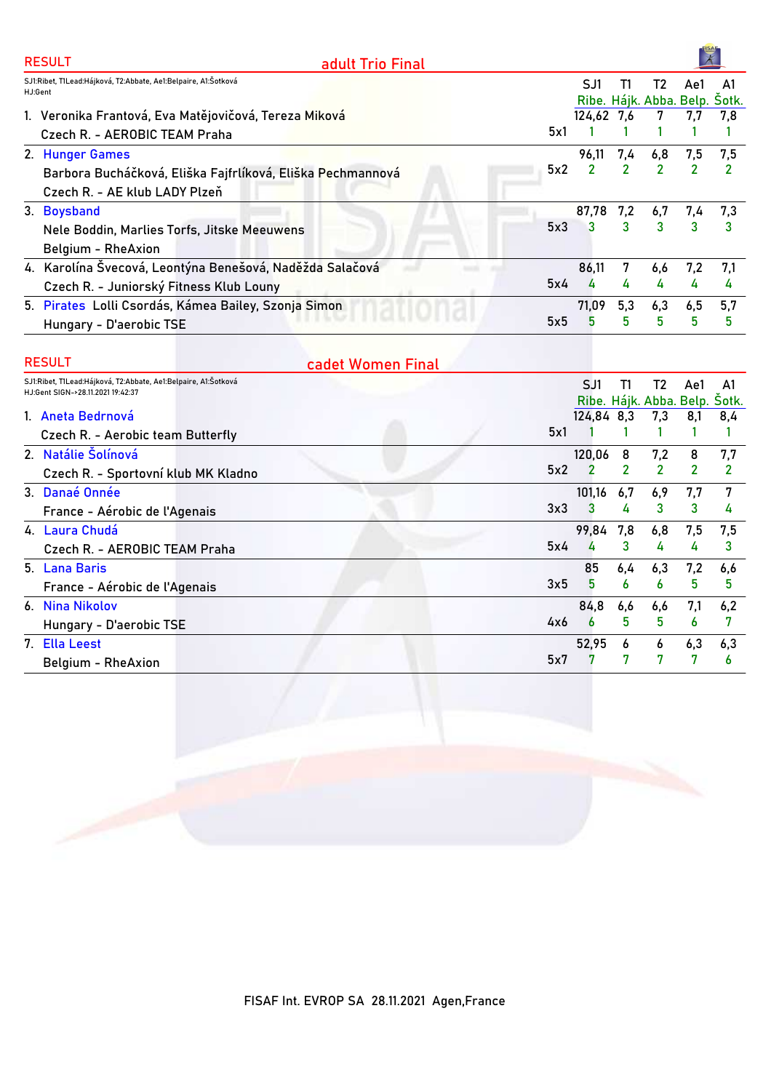| 5x1 | SJ1<br>124,62 7,6<br>96.11 | T1             | T2<br>Ribe. Hájk. Abba. Belp. Sotk.<br>7 | Ae1<br>7,7   | A1<br>7.8 |
|-----|----------------------------|----------------|------------------------------------------|--------------|-----------|
|     |                            |                |                                          |              |           |
|     |                            |                |                                          |              |           |
|     |                            |                |                                          |              |           |
|     |                            | 7,4            | 6,8                                      | 7,5          | 7,5       |
| 5x2 | $\overline{2}$             | $\overline{2}$ | $\overline{2}$                           |              | 2         |
|     |                            |                |                                          |              |           |
|     |                            | 7,2            | 6,7                                      | 7,4          | 7,3       |
| 5x3 | 3                          | 3              | 3                                        | $\mathbf{R}$ |           |
|     |                            |                |                                          |              |           |
|     | 86,11                      | 7              | 6,6                                      | 7,2          | 7.1       |
| 5x4 | 4                          | 4              | 4                                        | 4            | 4         |
|     | 71,09                      | 5,3            | 6,3                                      | 6,5          | 5,7       |
| 5x5 | 5                          | $5^{\circ}$    | 5                                        | 5            | 5         |
|     |                            |                | 87,78                                    |              |           |

| <b>RESULT</b>                                                                                       | cadet Women Final |     |            |     |               |     |                                     |
|-----------------------------------------------------------------------------------------------------|-------------------|-----|------------|-----|---------------|-----|-------------------------------------|
| SJ1:Ribet, T1Lead:Hájková, T2:Abbate, Ae1:Belpaire, A1:Šotková<br>HJ:Gent SIGN->28.11.2021 19:42:37 |                   |     | SJ1        | T1  | T2            | Ae1 | A1<br>Ribe. Hájk. Abba. Belp. Šotk. |
| 1. Aneta Bedrnová                                                                                   |                   |     | 124,84 8,3 |     | 7,3           | 8,1 | 8,4                                 |
| Czech R. - Aerobic team Butterfly                                                                   |                   | 5x1 |            |     |               |     |                                     |
| 2. Natálie Šolínová                                                                                 |                   |     | 120,06     | 8   | 7,2           | 8   | 7,7                                 |
| Czech R. - Sportovní klub MK Kladno                                                                 |                   | 5x2 |            | 2   | $\mathcal{P}$ | 2   | 2                                   |
| 3. Danaé Onnée                                                                                      |                   |     | 101,16     | 6,7 | 6,9           | 7,7 | 7                                   |
| France - Aérobic de l'Agenais                                                                       |                   | 3x3 | 3          | 4   | 3             | 3   | 4                                   |
| 4. Laura Chudá                                                                                      |                   |     | 99,84 7,8  |     | 6,8           | 7,5 | 7,5                                 |
| Czech R. - AEROBIC TEAM Praha                                                                       |                   | 5x4 |            | 3   |               | 4   | 3                                   |
| 5. Lana Baris                                                                                       |                   |     | 85         | 6,4 | 6,3           | 7,2 | 6,6                                 |
| France - Aérobic de l'Agenais                                                                       |                   | 3x5 | 5          | 6   | 6             | 5   | 5                                   |
| 6. Nina Nikolov                                                                                     |                   |     | 84,8       | 6,6 | 6,6           | 7,1 | 6,2                                 |
| Hungary - D'aerobic TSE                                                                             |                   | 4x6 | 6          | 5   | 5             | 6   |                                     |
| 7. Ella Leest                                                                                       |                   |     | 52,95      | 6   | 6             | 6,3 | 6,3                                 |
| Belgium - RheAxion                                                                                  |                   | 5x7 |            | 7   |               |     | 6                                   |

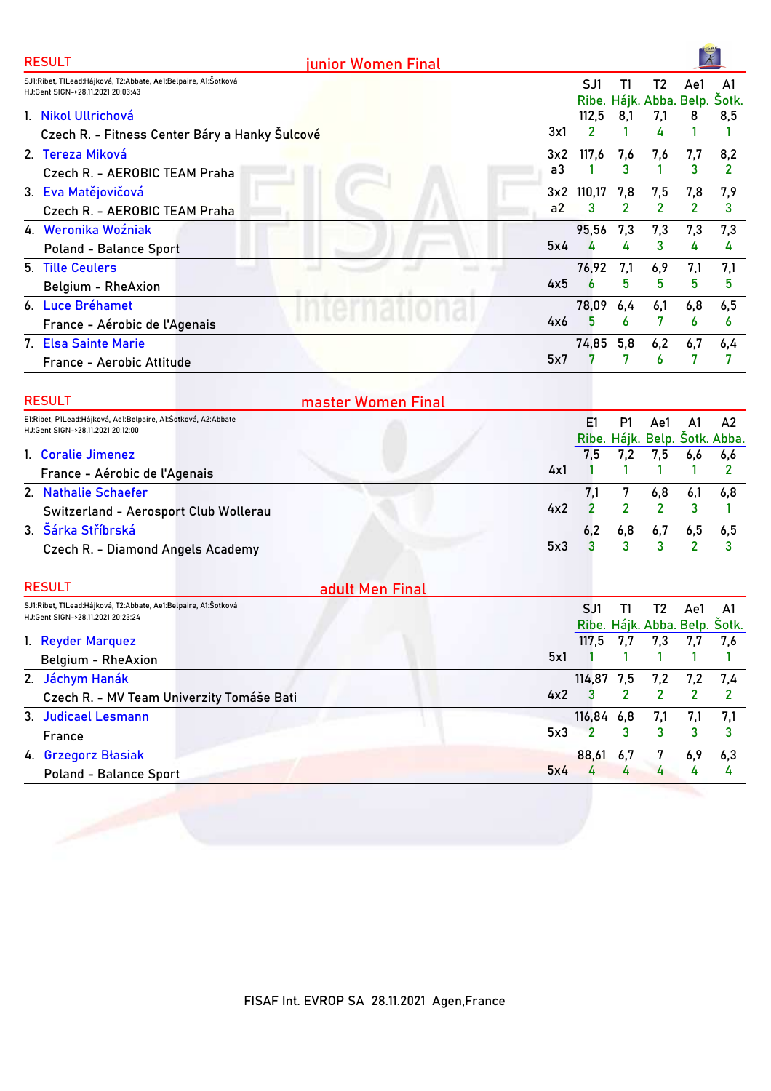| <b>RESULT</b>                                                                                       | junior Women Final |                |                |                               | 术              |                |
|-----------------------------------------------------------------------------------------------------|--------------------|----------------|----------------|-------------------------------|----------------|----------------|
| SJ1:Ribet, T1Lead:Hájková, T2:Abbate, Ae1:Belpaire, A1:Šotková<br>HJ:Gent SIGN->28.11.2021 20:03:43 |                    | SJ1            | T1             | T <sub>2</sub>                | Ae1            | A1             |
|                                                                                                     |                    |                |                | Ribe. Hájk. Abba. Belp.       |                | Šotk.          |
| 1. Nikol Ullrichová                                                                                 |                    | 112,5          | 8,1            | 7,1                           | 8              | 8,5            |
| Czech R. - Fitness Center Báry a Hanky Sulcové                                                      | 3x1                | 2              | 1              | 4                             | 1              | 1              |
| 2. Tereza Miková                                                                                    | 3x2                | 117,6          | 7,6            | 7,6                           | 7,7            | 8,2            |
| Czech R. - AEROBIC TEAM Praha                                                                       | a3                 | 1              | 3              | 1                             | 3              | 2              |
| 3. Eva Matějovičová                                                                                 |                    | 3x2 110,17     | 7,8            | 7,5                           | 7,8            | 7,9            |
| Czech R. - AEROBIC TEAM Praha                                                                       | a2                 | 3              | 2              | $\overline{2}$                | 2              | 3              |
| 4. Weronika Woźniak                                                                                 |                    | 95,56          | 7,3            | 7,3                           | 7,3            | 7,3            |
| <b>Poland - Balance Sport</b>                                                                       | 5x4                | 4              | 4              | 3                             | 4              | 4              |
| 5. Tille Ceulers                                                                                    |                    | 76,92          | 7,1            | 6,9                           | 7,1            | 7,1            |
| Belgium - RheAxion                                                                                  | 4x5                | 6              | 5              | 5                             | 5              | 5              |
| 6. Luce Bréhamet                                                                                    |                    | 78,09          | 6,4            | 6,1                           | 6,8            | 6,5            |
| France - Aérobic de l'Agenais                                                                       | 4x6                | 5              | 6              | 7                             | 6              | 6              |
| 7. Elsa Sainte Marie                                                                                |                    | 74,85          | 5,8            | 6,2                           | 6,7            | 6,4            |
| France - Aerobic Attitude                                                                           | 5x7                | 7              | 7              | 6                             | 7              | 7              |
|                                                                                                     |                    |                |                |                               |                |                |
| <b>RESULT</b>                                                                                       | master Women Final |                |                |                               |                |                |
| E1:Ribet, P1Lead:Hájková, Ae1:Belpaire, A1:Šotková, A2:Abbate<br>HJ:Gent SIGN->28.11.2021 20:12:00  |                    | E1             | P1             | Ae1                           | A1             | A2             |
|                                                                                                     |                    |                |                | Ribe. Hájk. Belp. Šotk. Abba. |                |                |
| 1. Coralie Jimenez                                                                                  |                    | 7,5            | 7,2            | 7,5                           | 6,6            | 6,6            |
| France - Aérobic de l'Agenais                                                                       | 4x1                | -1             | 1              | 1                             | 1              | $\overline{2}$ |
| 2. Nathalie Schaefer                                                                                |                    | 7,1            | 7              | 6,8                           | 6,1            | 6,8            |
| Switzerland - Aerosport Club Wollerau                                                               | 4x2                | $\overline{2}$ | $\overline{2}$ | $\mathbf{2}$                  | 3              | 1              |
| 3. Šárka Stříbrská                                                                                  |                    | 6,2            | 6,8            | 6,7                           | 6,5            | 6,5            |
| Czech R. - Diamond Angels Academy                                                                   | 5x3                | 3              | 3              | 3                             | $\overline{2}$ | 3              |
|                                                                                                     |                    |                |                |                               |                |                |
| <b>RESULT</b>                                                                                       | adult Men Final    |                |                |                               |                |                |
| SJ1:Ribet, T1Lead:Hájková, T2:Abbate, Ae1:Belpaire, A1:Šotková<br>HJ:Gent SIGN->28.11.2021 20:23:24 |                    | SJ1            | T1             | T2                            | Ae1            | A1             |
|                                                                                                     |                    |                |                | Ribe. Hájk. Abba. Belp. Šotk. |                |                |
| 1. Reyder Marquez                                                                                   |                    | 117,5          | 7,7            | 7,3                           | 7,7            | 7,6            |
| Belgium - RheAxion                                                                                  | 5x1                |                | 1              |                               | 1              |                |
| 2. Jáchym Hanák                                                                                     |                    | 114,87 7,5     |                | 7,2                           | 7,2            | 7,4            |
| Czech R. - MV Team Univerzity Tomáše Bati                                                           | 4x2                | 3              | 2              | $\mathbf{2}$                  | $\overline{2}$ | $\overline{2}$ |
| 3. Judicael Lesmann                                                                                 |                    | 116,84 6,8     |                | 7,1                           | 7,1            | 7,1            |
| France                                                                                              | 5x3                | 2              | 3              | 3                             | 3              | 3              |
| 4. Grzegorz Błasiak                                                                                 |                    | 88,61          | 6,7            | 7                             | 6,9            | 6,3            |
| <b>Poland - Balance Sport</b>                                                                       | 5x4                | 4              | 4              | 4                             | 4              | 4              |
|                                                                                                     |                    |                |                |                               |                |                |

 $\frac{1}{2}$